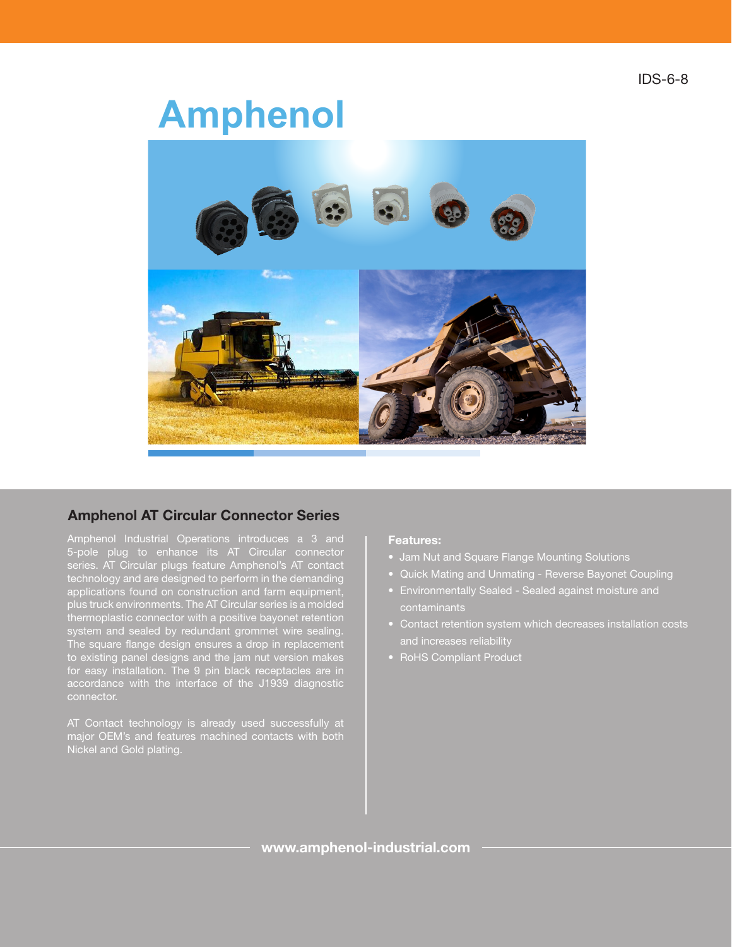# **Amphenol**®



# Amphenol AT Circular Connector Series

5-pole plug to enhance its AT Circular connector technology and are designed to perform in the demanding applications found on construction and farm equipment, plus truck environments. The AT Circular series is a molded thermoplastic connector with a positive bayonet retention system and sealed by redundant grommet wire sealing. The square flange design ensures a drop in replacement to existing panel designs and the jam nut version makes for easy installation. The 9 pin black receptacles are in accordance with the interface of the J1939 diagnostic

AT Contact technology is already used successfully at major OEM's and features machined contacts with both Nickel and Gold plating.

#### Features:

- Jam Nut and Square Flange Mounting Solutions
- Quick Mating and Unmating Reverse Bayonet Coupling
- Environmentally Sealed Sealed against moisture and contaminants
- and increases reliability
- RoHS Compliant Product